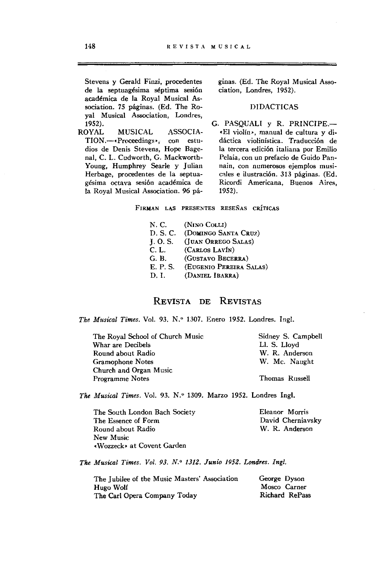Stevens y Gerald Finzi, procedentes de la septuagésima séptima sesión académica de la Royal Musical Association. 75 páginas. (Ed. The Ro**yal Musical Association, Londres,** 

1952).<br>ROYAL MUSICAL ASSOCIA-TION.--- \* Proceedings », con estudios de Denis Stevens, Hope Bagenal, C. L. Cudworth, G. Mackworth-Young, Humphrey Searle y Julian Herbage, procedentes de la septua**gésima octava sesión académica de**  la Royal Musical Association. 96 páginas. (Ed. The Royal Musical Association, Londres, 1952).

## DIDACTICAS

G. PASQUALI y R. PRINCIPE.-.EI violín', manual de cultura y di**dáctica violinística. Traducción de la tercera edición italiana por Emilio Pelaia, con un prefacio de Guido** Pan~ **nain, con numerosos ejemplos musi**cales e ilustración. 313 páginas. (Ed. **Ricordi Americana, Buenos Aires,**  1952).

**FIRMAN LAS PRESENTES RESEÑAS cRÍTICAS** 

- N.C. (NINO COLLI)
- D. S. C. (DOMINGO SANTA CRUZ)
- J. O. S. (JUAN ORREGO SALAS)
- c.L. (CARLOS LAVÍN)
- G.B. (GUSTAVO BECERRA)
- E. P. S. (EUGENIO PEREIRA SALAS)
- D.!. (DANIEL IBARRA)

## REVISTA DE REVISTAS

*The Musical Times. Vol. 93. N.º 1307. Enero 1952. Londres. Ingl.* 

| The Royal School of Church Music | Sidney S. Campbell |
|----------------------------------|--------------------|
| Whar are Decibels                | Ll. S. Llovd       |
| Round about Radio                | W. R. Anderson     |
| Gramophone Notes                 | W. Mc. Naught      |
| Church and Organ Music           |                    |
| <b>Programme Notes</b>           | Thomas Russell     |
|                                  |                    |

The Musical Times. Vol. 93. N.º 1309. Marzo 1952. Londres Ingl.

The South London Bach Society The Essence of Form Round about Radio **New Music**  .Wozzeck> at Covent Garden

**Eleanor Morris**  David Cherniavsky W. R. Anderson

*The Musical Times. Vol.* 93. *N.O* 1312. *Junio 195Z. Londres. Ingl.* 

| The Jubilee of the Music Masters' Association | George Dyson          |
|-----------------------------------------------|-----------------------|
| Hugo Wolf                                     | Mosco Carner          |
| The Carl Opera Company Today                  | <b>Richard RePass</b> |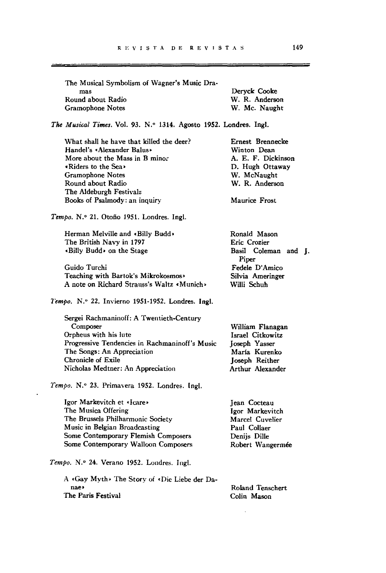| The Musical Symbolism of Wagner's Music Dra- |                |
|----------------------------------------------|----------------|
| mas                                          | Dervck Cooke   |
| Round about Radio                            | W. R. Anderson |
| Gramophone Notes                             | W. Mc. Naught  |
|                                              |                |

*The Musical Times.* Vol. 93. N.º 1314. Agosto 1952. Londres. Ingl.

What shall he have that killed the deer? Handel's «Alexander Balus» **More about the Mass in B minor**  • Riders to the Sea. Gramophone Notes Round about Radio The Aldeburgh Festivalz Books of Psalmody: an inquiry

*Tempo.* N." 21. Otoño 1951. Londres. Ingl.

Herman Melville and «Billy Budd» The British Navy in 1797 -BilIy Budd. on the Stage

Guido Turehi Teaehing with Bartok's Mikrokosmos> A note on Richard Strauss's Waltz «Munich»

*1'empo.* N.· 22. Invierno 1951-1952. Londres. Ingl.

Sergei Rachmaninoff: A Twentieth-Century Composer Orpheus with his lute **Progressive Tendencies in Rachmaninoff's Music**  The Songs: An Appreciation Chronicle of Exile Nieholas Medtner: An Appreeiation

*Tempo.* N." 23. Primavera 1952. Londres. Ingl.

Igor Markevitch et «Icare» The Musica Offering The Brussels Philharmonic Society Musie in Belgian Broadcasting Some Contemporary Flemish Composers Sorne Contemporary Walloon Composers Igor Markeviteh Mareel Cuvelier Paul Collaer Denijs DilIe Robert Wangermée

Tempo. N.º 24. Verano 1952. Londres. Ingl.

A .Gay Myth. The Story of .Die Liebe der Da**nae»**  The Paris Festival

Roland Tenschert Colin Mason

WilIiam Flanagan Israel Citkowitz Joseph Yasser Maria Kurenko **Joseph Reither** Arthur Alexander

Ernest Brenneeke Winton Dean A. E. F. Diekinson D. Hugh Ottaway W. MeNaught W. R. Anderson

Maurice Frost

Ronald Mason Erie Crozier

Piper Fedele D'Amieo Silvia Ameringer WilIi Schuh

Basil Coleman and J.

Jean Cocteau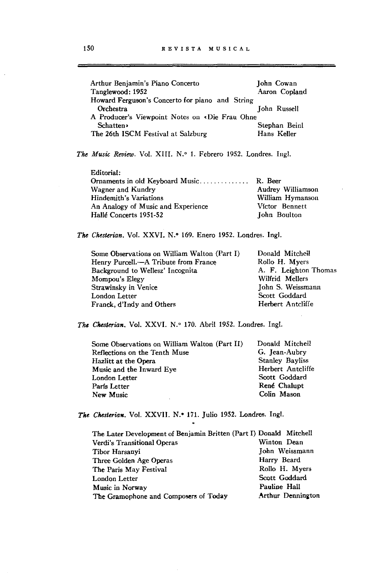\_\_\_\_\_\_\_\_\_\_\_\_

 $\sim$ 

| Arthur Benjamin's Piano Concerto                                   | John Cowan            |
|--------------------------------------------------------------------|-----------------------|
| Tanglewood: 1952                                                   | Aaron Copland         |
| Howard Ferguson's Concerto for piano and String                    |                       |
| Orchestra                                                          | John Russell          |
| A Producer's Viewpoint Notes on «Die Frau Ohne                     |                       |
| <b>Schatten</b>                                                    | Stephan Beinl         |
| The 26th ISCM Festival at Salzburg                                 | Hans Keller           |
| The Music Review. Vol. XIII. N.º 1. Febrero 1952. Londres. Ingl.   |                       |
| Editorial:                                                         |                       |
| Ornaments in old Keyboard Music R. Beer                            |                       |
| Wagner and Kundry                                                  | Audrey Williamson     |
| <b>Hindemith's Variations</b>                                      | William Hymanson      |
| An Analogy of Music and Experience                                 | Víctor Bennett        |
| Hallé Concerts 1951-52                                             | John Boulton          |
| The Chesterian. Vol. XXVI. N.º 169. Enero 1952. Londres. Ingl.     |                       |
| Some Observations on William Walton (Part I)                       | Donald Mitchell       |
| Henry Purcell.-A Tribute from France                               | Rollo H. Myers        |
| Background to Wellesz' Incognita                                   | A. F. Leighton Thomas |
| Mompou's Elegy                                                     | Wilfrid Mellers       |
| Strawinsky in Venice                                               | John S. Weissmann     |
| London Letter                                                      | Scott Goddard         |
| Franck, d'Indy and Others                                          | Herbert Antcliffe     |
| The Chesterian, Vol. XXVI. N.º 170. Abril 1952. Londres. Ingl.     |                       |
| Some Observations on William Walton (Part II)                      | Donald Mitchell       |
| Reflections on the Tenth Muse                                      | G. Jean-Aubry         |
| Hazlitt at the Opera                                               | Stanley Bayliss       |
| Music and the Inward Eye                                           | Herbert Antcliffe     |
| London Letter                                                      | Scott Goddard         |
| París Letter                                                       | René Chalupt          |
| New Music                                                          | Colin Mason           |
| The Chesterian. Vol. XXVII. N.º 171. Julio 1952. Londres. Ingl.    |                       |
| The Later Development of Benjamin Britten (Part I) Donald Mitchell |                       |
| Verdi's Transitional Operas                                        | Winton Dean           |
| Tibor Harsanyi                                                     | John Weissmann        |
| Three Golden Age Operas                                            | Harry Beard           |
| The Paris May Festival                                             | Rollo H. Myers        |
| <b>London Letter</b>                                               | Scott Goddard         |
|                                                                    | Pauline Hall          |
| Music in Norway                                                    |                       |
| The Gramophone and Composers of Today                              | Arthur Dennington     |

 $\hat{\mathcal{A}}$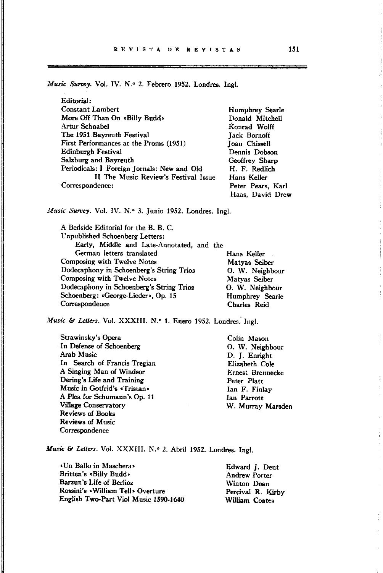*Music Survey.* Vol. IV. N.º 2. Febrero 1952. Londres. Ingl.

| Editorial:                                  |                      |
|---------------------------------------------|----------------------|
| <b>Constant Lambert</b>                     | Humphrey Searle      |
| More Off Than On «Billy Budd»               | Donald Mitchell      |
| Artur Schnabel                              | Konrad Wolff         |
| The 1951 Bayreuth Festival                  | <b>Tack Bornoff</b>  |
| First Performances at the Proms (1951)      | <b>Joan Chissell</b> |
| Edinburgh Festival                          | Dennis Dobson        |
| Salzburg and Bayreuth                       | Geoffrey Sharp       |
| Periodicals: I Foreign Jornals: New and Old | H. F. Redlich        |
| II The Music Review's Festival Issue        | Hans Keller          |
| Correspondence:                             | Peter Pears, Karl    |
|                                             | Haas. David Drew     |

*Music Survey.* Vol. IV. N.º 3. Junio 1952. Londres. Ingl.

A Bedside Editorial for the B. B. C. Unpublished Schoenberg Letters: Early, Middle and Late-Annotated, and the German letters translated Hans Keller Composing with Twelve Notes Matyas Seiber Dodecaphony in Schoenberg's String Trioz 0. W. Neighbour **Composing with Twelve Notes** Matyas Seiber Dodecaphony in Schoenberg's String Trioz O. W. Neighbour Schoenberg: «George-Lieder», Op. 15 Humphrey Searle Correspondence Charles Reid

*Music & Letters.* Vol. XXXIII. N.º 1. Enero 1952. Londres. Ingl.

Strawinsky's Opera In Defense of Schoenberg Arab Music In Search of Francis Tregian A Singing Man of Windsor Dering's Life and Training **Music in Gotfrid's cTristan-**A Plea for Schumann's Op. 11 Village Conservatory Reviews of Books Reviews of Music **Correspondence** 

Colin Mason O. W. Neighbour D. J. Enright Elizabeth Cole Ernest Brennecke Peter Platt Ian F. Finlay lan Parrott W. Murray Marsden

*Music & Letters. Vol. XXXIII. N.º 2. Abril 1952. Londres. Ingl.* 

| «Un Ballo in Maschera»                | Edward J. Dent       |
|---------------------------------------|----------------------|
| Britten's «Billy Budd»                | <b>Andrew Porter</b> |
| Barzun's Life of Berlioz              | Winton Dean          |
| Rossini's «William Tell» Overture     | Percival R. Kirby    |
| English Two-Part Viol Music 1590-1640 | William Coates       |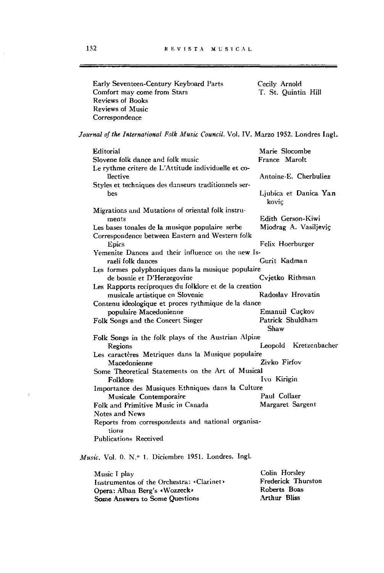| Early Seventeen-Century Keyboard Parts | Cecily Arnold       |  |
|----------------------------------------|---------------------|--|
| Comfort may come from Stars            | T. St. Ouintin Hill |  |
| Reviews of Books                       |                     |  |
| Reviews of Music                       |                     |  |
| Correspondence                         |                     |  |

*Journal of the International Folk Music Council. Vol. IV. Marzo 1952. Londres Ingl.* 

| Editorial                                              | Marie Slocombe        |  |
|--------------------------------------------------------|-----------------------|--|
| Slovene folk dance and folk music                      | France Marolt         |  |
| Le rythme critere de L'Attitude individuelle et co-    |                       |  |
| llective                                               | Antoine-E. Cherbuliez |  |
| Styles et techniques des danseurs traditionnels ser-   |                       |  |
| bes                                                    | Ljubica et Danica Yan |  |
|                                                        | kovic                 |  |
| Migrations and Mutations of oriental folk instru-      |                       |  |
| ments                                                  | Edith Gerson-Kiwi     |  |
|                                                        | Miodrag A. Vasiljeviç |  |
| Les bases tonales de la musique populaire serbe        |                       |  |
| Correspondence between Eastern and Western folk        |                       |  |
| Epics                                                  | Felix Hoerburger      |  |
| Yemenite Dances and their influence on the new Is-     |                       |  |
| raeli folk dances                                      | Gurit Kadman          |  |
| Les formes polyphoniques dans la musique populaire     |                       |  |
| de bosnie et D'Herzegovine                             | Cyjetko Rithman       |  |
| Les Rapports reciproques du folklore et de la creation |                       |  |
| musicale artistique en Slovenie                        | Radoslav Hrovatin     |  |
| Contenu ideologique et proces rythmique de la dance    |                       |  |
| populaire Macedonienne                                 | Emanuil Cuçkov        |  |
| Folk Songs and the Concert Singer                      | Patrick Shuldham      |  |
|                                                        | Shaw                  |  |
| Folk Songs in the folk plays of the Austrian Alpine    |                       |  |
| Regions                                                | Leopold Kretzenbacher |  |
| Les caractères Metriques dans la Musique populaire     |                       |  |
| Macedonienne                                           | Zivko Firfov          |  |
| Some Theoretical Statements on the Art of Musical      |                       |  |
|                                                        | Ivo Kirigin           |  |
| Folklore                                               |                       |  |
| Importance des Musiques Ethniques dans la Culture      |                       |  |
| Musicale Contemporaire                                 | Paul Collaer          |  |
| Folk and Primitive Music in Canada                     | Margaret Sargent      |  |
| Notes and News                                         |                       |  |
| Reports from correspondents and national organisa-     |                       |  |
| tions                                                  |                       |  |
| <b>Publications Received</b>                           |                       |  |
|                                                        |                       |  |

*Music. Vol. 0. N.º 1. Diciembre 1951. Londres. Ingl.* 

| Music I play                              | Colin Horsley             |
|-------------------------------------------|---------------------------|
| Instrumentos of the Orchestra: «Clarinet» | <b>Frederick Thurston</b> |
| Opera: Alban Berg's «Wozzeck»             | Roberts Boas              |
| Some Answers to Some Questions            | Arthur Bliss              |

 $\epsilon$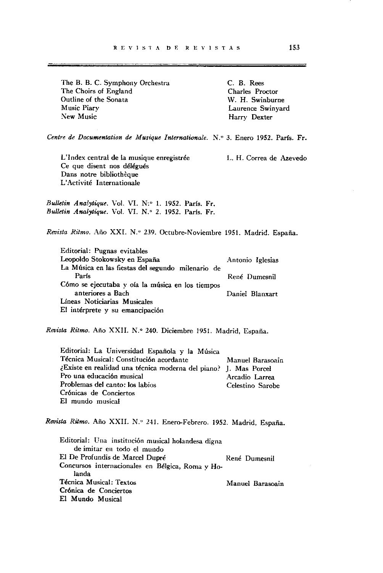The B. B. C. Symphony Orchestra The Choirs of England Outline of the Sonata **Music Piary**  New Music

C. B. Rees Charles Proctor W. H. Swinburne Laurence Swinyard Harry Dexter

*Centre de Documentation de Musique Internationale.* N.º 3. Enero 1952. París. Fr.

**L'Index central de la musique enregistrée**  Ce que disent nos délégués Dans notre bibliothèque L'Activité Internationale

L. H. Correa de Azevedo

*Bulletin Ana!ytique.* Vol. VI. N:o 1. 1952. París. Fr. *Bulletin Analytique. Vol. VI. N.º 2. 1952. París. Fr.* 

Revista Ritmo. Año XXI. N.º 239. Octubre-Noviembre 1951. Madrid. España.

Editorial: Pugnas evitables Leopoldo Stokowsky en España Antonio Iglesias La Música en las fiestas del segundo milenario de París René Dumesnil Cómo se ejecutaba y oía la música en los tiempos anteriores a Bach Daniel B1anxart *Líneas* **Noticiarias Musicales** El intérprete y su emancipación

*Revista Ritmo.* Año XXII. N.o 240. Diciembre 1951. Madrid, España.

Editorial: La Universidad Española y la Música Técnica Musical: Constitución acordante **¿Existe en realidad una técnica moderna del piano?**  J. Mas Poreel **Pro una educaci6n musical**  Problemas del canto: los labios **Cr6nicas de Conciertos**  El mundo musical **Manuel Barasoain**  Arcadio Larrea Celestino Sarobe

*Revista Ritmo.* Año XXII. N.o 241. Enero-Febrero. 1952. Madrid, España.

**Editorial: Una institución musical holandesa digna de imitar en todo el mundo**  El De Profundis de Marcel Dupré René Dumesnil **Concursos internacionales en Bélgica, Roma y Ho**landa Técnica Musical: Textos **Manuel Barasoain** Crónica de Conciertos El Mundo Musical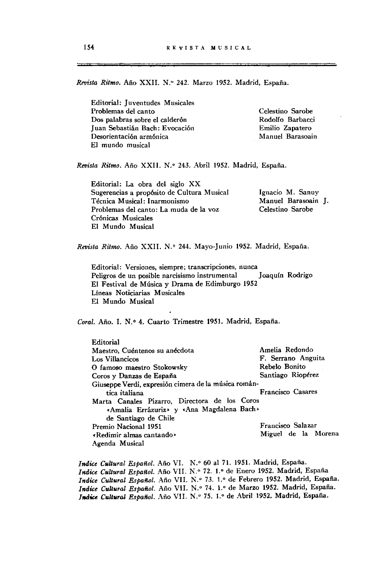*Revista Ritmo.* Año XXII. N.º 242. Marzo 1952. Madrid, España.

Editorial: juventudes Musicales Problemas del canto Dos palabras sobre el calderón juan Sebastián Bach: Evocación **Desorientación armónica**  El mundo musical

Celestino Sarobe Rodolfo Barbacci Emilio Zapatero **Manuel Barasoain** 

*Revista Ritmo.* Año XXII. N.o 243. Abril 1952. Madrid, España.

Editorial: La obra del siglo XX Sugerencias a propósito de Cultura Musical **Técnica Musical: 1 narmonismo**  Problemas del canto: La muda de la voz Crónicas Musicales El Mundo Musical Ignacio M. Sanuy Manuel Barasoain j. Celestino Sarobe

*Revista Ritmo.* Año XXII. N.o 244. Mayo-junio 1952. Madrid, España.

**Editorial: Versiones, siempre; transcripciones, nunca**  Peligros de un posible narcisismo instrumental Joaquín Rodrigo El Festival de Música y Drama de Edimburgo 1952 Líneas Noticiarías Musicales El Mundo Musical

*Coral.* Año. 1. N.o 4. Cuarto Trimestre 1951. Madrid, España.

| Editorial                                            |                     |
|------------------------------------------------------|---------------------|
| Maestro. Cuéntenos su anécdota                       | Amelia Redondo      |
| Los Villancicos                                      | F. Serrano Anguita  |
| O famoso maestro Stokowsky                           | Rebelo Bonito       |
| Coros y Danzas de España                             | Santiago Riopérez   |
| Giuseppe Verdi, expresión cimera de la música román- |                     |
| tica italiana                                        | Francisco Casares   |
| Marta Canales Pizarro, Directora de los Coros        |                     |
| «Amalia Errázuriz» y «Ana Magdalena Bach»            |                     |
| de Santiago de Chile                                 |                     |
| Premio Nacional 1951                                 | Francisco Salazar   |
| «Redimir almas cantando»                             | Miguel de la Morena |
| Agenda Musical                                       |                     |

*Indice Cultural Español.* Año VI. N.º 60 al 71. 1951. Madrid, España. Indice Cultural Español. Año VII. N.º 72. 1.º de Enero 1952. Madrid, España *Indic. Cultural Español.* Año VII. N." 73. 1.0 de Febrero 1952. Madrid, España. *Indice Cultural Español.* Año VII. N.º 74. 1.º de Marzo 1952. Madrid, España. *Indice Cultural Español. Año VII. N.º 75. 1.º de Abril 1952. Madrid, España.*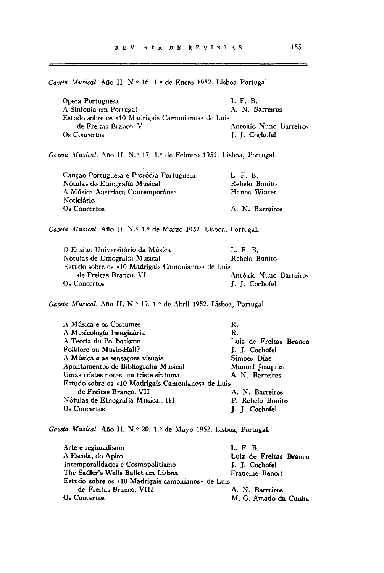Gazeta Musical. Año II. N.º 16. 1.º de Enero 1952. Lisboa Portugal.

| Opera Portuguesa                                 | I.F.B.                 |
|--------------------------------------------------|------------------------|
| A Sinfonia em Portugal                           | A. N. Barreiros        |
| Estudo sobre os <10 Madrigais Camonianos de Luis |                        |
| de Freitas Branco. V                             | Antonio Nuno Barreiros |
| Os Concertos                                     | J. J. Cochofel         |

Gazeta Musical. Año II. N.º 17. 1.<sup>o</sup> de Febrero 1952. Lisboa, Portugal.

 $\hat{\mathbf{r}}$ 

| Cançao Portuguesa e Prosódia Portuguesa | L. F. B.        |
|-----------------------------------------|-----------------|
| Nótulas de Etnografía Musical           | Rebelo Bonito   |
| A Música Austríaca Contemporánea        | Hanns Winter    |
| Noticiário                              |                 |
| Os Concertos                            | A. N. Barreiros |
|                                         |                 |

Gazeta Musical. Año II. N.º 1.º de Marzo 1952. Lisboa, Portugal.

| O Ensino Universitário da Música                  | L. F. B.               |
|---------------------------------------------------|------------------------|
| Nótulas de Etnografía Musical                     | Rebelo Bonito          |
| Estudo sobre os «10 Madrigais Camonianos» de Luis |                        |
| de Freitas Branco. VI                             | António Nuno Barreiros |
| Os Concertos                                      | J. J. Cochofel         |

Gazeta Musical. Año II. N.º 19. 1.º de Abril 1952. Lisboa, Portugal.

| A Música e os Costumes                            | R.                     |  |
|---------------------------------------------------|------------------------|--|
| A Musicología Imaginária                          | R.                     |  |
| A Teoría do Polibasismo                           | Luis de Freitas Branco |  |
| Folklore ou Music-Hall?                           | J. J. Cochofel         |  |
| A Música e as sensações visuais                   | Simoes Dias            |  |
| Apontamentos de Bibliografia Musical              | Manuel Joaquim         |  |
| Umas tristes notas, un triste sintoma             | A. N. Barreiros        |  |
| Estudo sobre os «10 Madrigais Camonianos» de Luis |                        |  |
| de Freitas Branco. VII                            | A. N. Barreiros        |  |
| Nótulas de Etnografía Musical. III                | P. Rebelo Bonito       |  |
| Os Concertos                                      | J. J. Cochofel         |  |
|                                                   |                        |  |

*Gazeta Musical. Año II. N.º 20. 1.º de Mayo 1952. Lisboa, Portugal.* 

| Arte e regionalismo                              | L. F. B.               |
|--------------------------------------------------|------------------------|
| A Escola, do Apito                               | Luiz de Freitas Branco |
| Intemporalidades e Cosmopolitismo                | J. J. Cochofel         |
| The Sadler's Wells Ballet em Lisboa              | Francine Benoit        |
| Estudo sobre os <10 Madrigais camonianos de Luis |                        |
| de Freitas Branco. VIII                          | A. N. Barreiros        |
| Os Concertos                                     | M. G. Amado da Cunha   |

\_\_\_\_\_\_\_\_\_\_\_\_\_\_\_\_

فالمحاولة المحاول المستحيل والمستجد المتحادث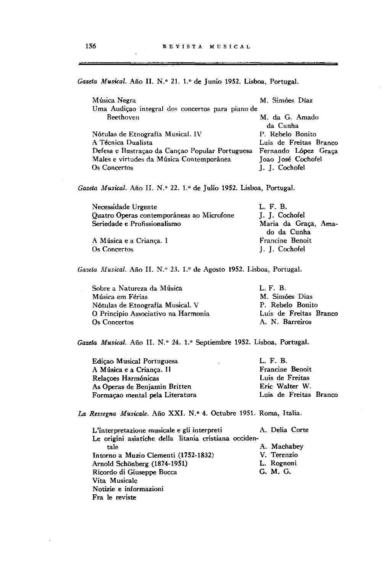Gazeta Musical. Año II. N.º 21. 1.º de Junio 1952. Lisboa, Portugal.

| Música Negra                                     | M. Simóes Díaz         |
|--------------------------------------------------|------------------------|
| Uma Audição integral dos concertos para piano de |                        |
| Beethoven                                        | M. da G. Amado         |
|                                                  | da Cunha               |
| Nótulas de Etnografía Musical. IV                | P. Rebelo Bonito       |
| A Técnica Dualista                               | Luis de Freitas Branco |
| Defesa e Ilustração da Canção Popular Portuguesa | Fernando López Graca   |
| Males e virtudes da Música Contemporánea         | Joao José Cochofel     |
| Os Concertos                                     | J. J. Cochofel         |

Gazeta Musical. Año II. N.º 22. 1.º de Julio 1952. Lisboa, Portugal.

| Necessidade Urgente                       | L. F. B.             |
|-------------------------------------------|----------------------|
| Quatro Operas contemporáneas ao Microfone | J. J. Cochofel       |
| Seriedade e Profissionalismo              | Maria da Graça, Ama- |
|                                           | do da Cunha          |
| A Música e a Crianca. I                   | Francine Benoit      |
| Os Concertos                              | J. J. Cochofel       |

*Gazeta Musical.* Año 11. *N."* 23. 1.0 de Agosto 1952. Lisboa, Portugal.

| Sobre a Natureza da Música          | L.F.B.                 |
|-------------------------------------|------------------------|
| Música em Férias                    | M. Simóes Dias         |
| Nótulas de Etnografía Musical. V    | P. Rebelo Bonito       |
| O Principio Associativo na Harmonia | Luis de Freitas Branco |
| Os Concertos                        | A. N. Barreiros        |

Gazeta Musical. Año II. N.º 24. 1.º Septiembre 1952. Lisboa, Portugal.

| Edicao Musical Portuguesa       | L. F. B.               |
|---------------------------------|------------------------|
| A Música e a Criança. II        | Francine Benoit        |
| Relacoes Harmónicas             | Luis de Freitas        |
| As Operas de Benjamin Britten   | Eric Walter W.         |
| Formação mental pela Literatura | Luis de Freitas Branco |

La Ressegna Musicale. Año XXI. N.º 4. Octubre 1951. Roma, Italia.

| L'interpretazione musicale e gli interpreti           | A. Delia Corte |
|-------------------------------------------------------|----------------|
| Le origini asiatiche della litania cristiana occiden- |                |
| tale                                                  | A. Machabey    |
| Intorno a Muzio Clementi (1752-1832)                  | V. Terenzio    |
| Arnold Schönberg (1874-1951)                          | L. Rognoni     |
| Ricordo di Giuseppe Bocca                             | G. M. G.       |
| Vita Musicale                                         |                |
| Notizie e informazioni                                |                |
| Fra le reviste                                        |                |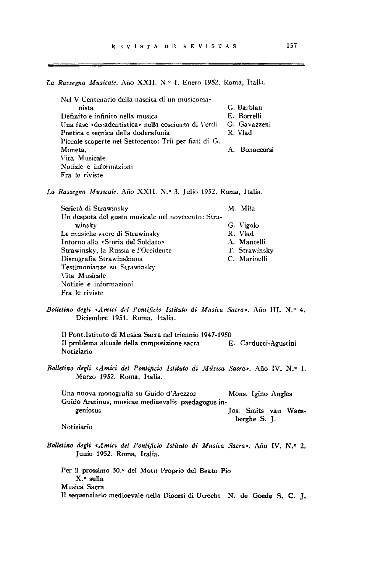La Rassegna Musicale. Año XXII. N.º 1. Enero 1952. Roma, Italia.

Nel V Centenario della nascita di un musicoma**nista Definito e infinito !leila musica Una fase «decadentistica" nelIa coscienza di Vcrdi**  Poetica e tecnica deIla dodecafonia Piceole scoperte nel Settccento: Trii per fiati di G. Moneta, **\'ita Musicale**  ~ **otizie e informazioni Fra le riviste**  G. Barblan E. Borrelli **G. Gavazzeni**  R. Vlad A. Bonaccorsi

La Rassegna Musicale. Año XXII. N.º 3. Julio 1952. Roma, Italia.

| Serietá di Strawinsky                              | M. Mila       |
|----------------------------------------------------|---------------|
| Un despota del gusto musicale nel novecento: Stra- |               |
| winsky                                             | G. Vigolo     |
| Le musiche sacre di Strawinsky                     | R. Vlad       |
| Intorno alla «Storia del Soldato»                  | A. Mantelli   |
| Strawinsky, la Russia e l'Occidente                | T. Strawinsky |
| Discografia Strawinskiana                          | C. Marinelli  |
| Testimonianze su Strawinsky                        |               |
| Vita Musicale                                      |               |
| Notizie e informazioni                             |               |
| Fra le riviste                                     |               |

Bolletino degli «Amici del Pontificio Istituto di Musica Sacra». Año III. N.º 4. Diciembre 1951. Roma, Italia.

Il Pont.lstituto di Musica Sacra nel triennio 1947-1950 Il problema altuale deIla composizione sacra E. Carducci-Agustini **Notiziario** 

*Bolletino degli ,Amici del Pontificio [stitulo di Música Sacra>.* Año IV. N.o 1. Marzo 1952. Roma, Italia.

Una nuova monografia su Guido d'Arezzoz Mons. Igino Angles **Guido Aretinus, musicae mediaevalis paedagogus in**geniosus Jos. Smits van Waesberghe S. J.

**Notiziario** 

*Bollelino degli 'Amici del Pontificio [stitulo di Musica Sacra'.* Año IV. N.o 2. Junio 1952. Roma, Italia.

Per il prossimo 50.° del Motu Proprio del Beato Pio X.<sup>o</sup> sulla **M usica Sacra**  Il sequenziario medioevale nella Diocesi di Utrecht N. de Goede S. C. J.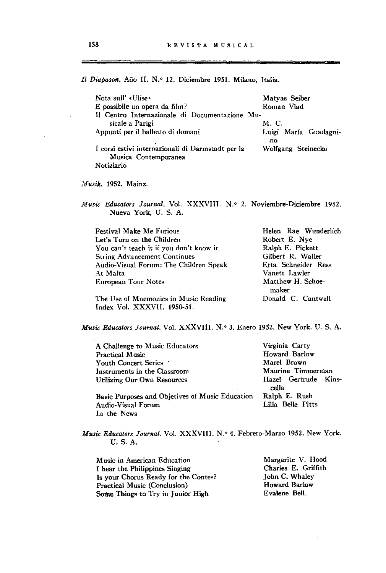Il Diapason. Año II. N.º 12. Diciembre 1951. Milano, Italia.

| Nota sull' «Ulise»<br>E possibile un opera da film?                       | Matyas Seiber<br>Roman Vlad  |
|---------------------------------------------------------------------------|------------------------------|
| Il Centro Internazionale di Documentazione Mu-                            |                              |
| sicale a Parigi                                                           | M. C.                        |
| Appunti per il balletto di domani                                         | Luigi María Guadagni-<br>۰no |
| I corsi estivi internazionali di Darmstadt per la<br>Musica Contemporanea | Wolfgang Steinecke           |
| Notiziario                                                                |                              |

*Musik.* 1952. Mainz.

In the News

*Music Educators Journal. Vol. XXXVIII. N.º 2. Noviembre-Diciembre 1952.* Nueva York, U. S. A.

| <b>Festival Make Me Furious</b>         | Helen Rae Wunderlich       |
|-----------------------------------------|----------------------------|
| Let's Turn on the Children              | Robert E. Nye              |
| You can't teach it if you don't know it | Ralph E. Pickett           |
| <b>String Advancement Continues</b>     | Gilbert R. Waller          |
| Audio-Visual Forum: The Children Speak  | Etta Schneider Ress        |
| At Malta                                | Vanett Lawler              |
| European Tour Notes                     | Matthew H. Schoe-<br>maker |
| The Use of Mnemonics in Music Reading   | Donald C. Cantwell         |

The Use of Mnemonies in Musie Reading Index Vol. XXXVII. 195Q.51.

*Music Educators Journal.* Vol. XXXVIII. N.º 3. Enero 1952. New York. U. S. A.

| A Challenge to Music Educators                  | Virginia Carty       |
|-------------------------------------------------|----------------------|
| <b>Practical Music</b>                          | Howard Barlow        |
| Youth Concert Series .                          | Marel Brown          |
| Instruments in the Classroom                    | Maurine Timmerman    |
| Utilizing Our Own Resources                     | Hazel Gertrude Kins- |
|                                                 | cella                |
| Basic Purposes and Objetives of Music Education | Ralph E. Rush        |
| Audio-Visual Forum                              | Lilla Belle Pitts    |

*Music Educators Journal.* Vol. XXXVIII. N.º 4. Febrero-Marzo 1952. New York. U. S. A.

**M usie in American Education**  I hear the Philippines Singing Is your Chorus Ready for the Contes? Practical Music (Conclusion) Some Things tó Try in Junior High

Margarite V. Hood Charles E. Griffith John C. Whaley Howard Barlow Evalene Bell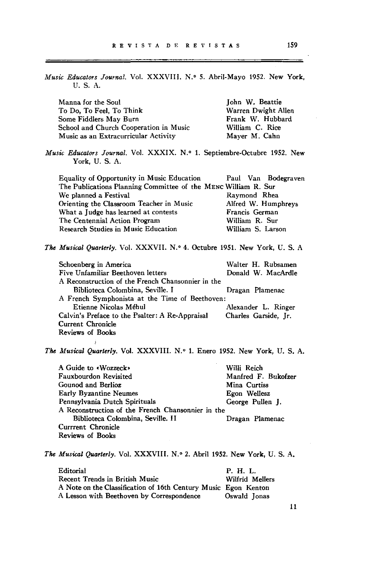| Music Educators Journal. Vol. XXXVIII. N.º 5. Abril-Mayo 1952. New York,<br>U.S.A.       |                      |
|------------------------------------------------------------------------------------------|----------------------|
| Manna for the Soul                                                                       | John W. Beattie      |
| To Do, To Feel, To Think                                                                 | Warren Dwight Allen  |
| Some Fiddlers May Burn                                                                   | Frank W. Hubbard     |
| School and Church Cooperation in Music                                                   | William C. Rice      |
| Music as an Extracurricular Activity                                                     | Mayer M. Cahn        |
| Music Educators Journal, Vol. XXXIX, N.º 1. Septiembre-Octubre 1952. New<br>York, U.S.A. |                      |
| <b>Equality of Opportunity in Music Education</b>                                        | Paul Van Bodegraven  |
| The Publications Planning Committee of the MENC William R. Sur                           |                      |
| We planned a Festival                                                                    | Raymond Rhea         |
| Orienting the Classroom Teacher in Music                                                 | Alfred W. Humphreys  |
| What a Judge has learned at contests                                                     | Francis German       |
| The Centennial Action Program                                                            | William R. Sur       |
| Research Studies in Music Education                                                      | William S. Larson    |
| The Musical Quarterly. Vol. XXXVII. N.º 4. Octubre 1951. New York, U. S. A               |                      |
| Schoenberg in America                                                                    | Walter H. Rubsamen   |
| Five Unfamiliar Beethoven letters                                                        | Donald W. MacArdle   |
| A Reconstruction of the French Chansonnier in the                                        |                      |
| Biblioteca Colombina, Seville. I                                                         | Dragan Plamenac      |
| A French Symphonista at the Time of Beethoven:                                           |                      |
| Etienne Nicolas Méhul                                                                    | Alexander L. Ringer  |
| Calvin's Preface to the Psalter: A Re-Appraisal                                          | Charles Garside, Jr. |
| Current Chronicle                                                                        |                      |
| <b>Reviews of Books</b>                                                                  |                      |
|                                                                                          |                      |
| The Musical Quarterly. Vol. XXXVIII. N.º 1. Enero 1952. New York, U. S. A.               |                      |
| A Guide to «Wozzeck»                                                                     | Willi Reich          |
| <b>Fauxbourdon Revisited</b>                                                             | Manfred F. Bukofzer  |
| Gounod and Berlioz                                                                       | Mina Curtiss         |
| <b>Early Byzantine Neumes</b>                                                            | Egon Wellesz         |
| Pennsylvania Dutch Spirituals                                                            | George Pullen J.     |

*The Musical Quarterly.* Vol. XXXVIII. N.º 2. Abril 1952. New York, U. S. A.

Biblioteca Colombina, Seville. II Dragan Plamenac

A Reconstruction of the French Chansonnier in the

Currrent Chronicle Reviews of Books

| Editorial                                                      | P. H. L.        |
|----------------------------------------------------------------|-----------------|
| Recent Trends in British Music                                 | Wilfrid Mellers |
| A Note on the Classification of 16th Century Music Egon Kenton |                 |
| A Lesson with Beethoven by Correspondence                      | Oswald Ionas    |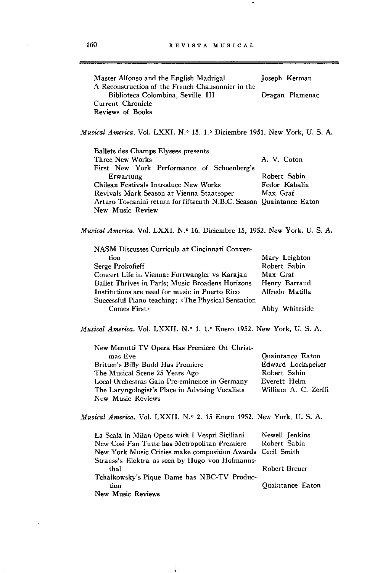| Master Alfonso and the English Madrigal<br>A Reconstruction of the French Chansonnier in the | Joseph Kerman   |
|----------------------------------------------------------------------------------------------|-----------------|
| Biblioteca Colombina, Seville. III                                                           | Dragan Plamenac |
| Current Chronicle<br>Reviews of Books                                                        |                 |

*Musical America.* Vol. LXXI. N.' 15. l.' Diciembre 1951. New York, U. S. A.

Ballets des Champs Elysees presents Three New Works First New York Performance of Schoenberg's **Erwartung**  Chilean Festivals Introduce New Works A. V. Coton Robert Sabin Fedor Kabalin Revivals Mark Season at Vienna Staatsoper Max Graf Arturo Toscanini return for fifteenth N .B.C. Season Quaintance Eaton New Music Review

*Musical America.* Vol. LXXI. N.' 16. Diciembre 15, 1952. New York. U. S. A.

| NASM Discusses Curricula at Cincinnati Conven-     |                 |
|----------------------------------------------------|-----------------|
| tion                                               | Mary Leighton   |
| Serge Prokofieff                                   | Robert Sabin    |
| Concert Life in Vienna: Furtwangler vs Karajan     | Max Graf        |
| Ballet Thrives in París: Music Broadens Horizons   | Henry Barraud   |
| Institutions are need for music in Puerto Rico     | Alfredo Matilla |
| Successful Piano teaching; «The Physical Sensation |                 |
| Comes First»                                       | Abby Whiteside  |

*Musical America.* Vol. LXXII. N.º 1. 1.º Enero 1952. New York, U. S. A.

| New Menotti TV Opera Has Premiere On Christ-    |                      |
|-------------------------------------------------|----------------------|
| mas Eve                                         | Quaintance Eaton     |
| Britten's Billy Budd Has Premiere               | Edward Lockspeiser   |
| The Musical Scene 25 Years Ago                  | Robert Sabin         |
| Local Orchestras Gain Pre-eminence in Germany   | Everett Helm         |
| The Laryngologist's Place in Advising Vocalists | William A. C. Zerffi |
| New Music Reviews                               |                      |

*Musical America.* Vol. LXXII. N.' 2. **15** Enero 1952. New York, U. S. A.

| La Scala in Milan Opens with I Vespri Siciliani            | Newell Jenkins   |
|------------------------------------------------------------|------------------|
| New Cosi Fan Tutte has Metropolitan Premiere               | Robert Sabin     |
| New York Music Crities make composition Awards Cecil Smith |                  |
| Strauss's Elektra as seen by Hugo von Hofmanns-            |                  |
| thal                                                       | Robert Breuer    |
| Tchaikowsky's Pique Dame has NBC-TV Produc-                |                  |
| tion                                                       | Quaintance Eaton |
| New Music Reviews                                          |                  |

 $\pmb{\chi} \in$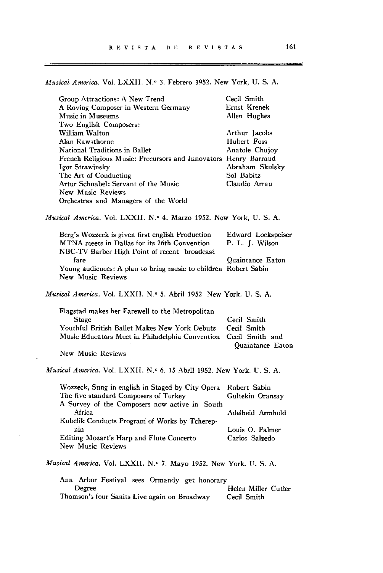*Musical America.* Vol. LXXII. N.o 3. Febrero 1952. New York, U. S. A.

| Group Attractions: A New Trend                                        | Cecil Smith         |  |
|-----------------------------------------------------------------------|---------------------|--|
| A Roving Composer in Western Germany                                  | Ernst Krenek        |  |
| Music in Museums                                                      | Allen Hughes        |  |
| Two English Composers:                                                |                     |  |
| William Walton                                                        | Arthur Jacobs       |  |
| Alan Rawsthorne                                                       | Hubert Foss         |  |
| National Traditions in Ballet                                         | Anatole Chujoy      |  |
|                                                                       |                     |  |
| French Religious Music: Precursors and Innovators Henry Barraud       |                     |  |
| Igor Strawinsky                                                       | Abraham Skulsky     |  |
| The Art of Conducting                                                 | Sol Babitz          |  |
| Artur Schnabel: Servant of the Music                                  | Claudio Arrau       |  |
| New Music Reviews                                                     |                     |  |
| Orchestras and Managers of the World                                  |                     |  |
| Musical America. Vol. LXXII. N.º 4. Marzo 1952. New York, U. S. A.    |                     |  |
| Berg's Wozzeck is given first english Production                      | Edward Lockspeiser  |  |
| MTNA meets in Dallas for its 76th Convention                          | P. L. J. Wilson     |  |
| NBC-TV Barber High Point of recent broadcast                          |                     |  |
| fare                                                                  | Quaintance Eaton    |  |
| Young audiences: A plan to bring music to children Robert Sabin       |                     |  |
| New Music Reviews                                                     |                     |  |
|                                                                       |                     |  |
| Musical America. Vol. LXXII. N.º 5. Abril 1952 New York. U. S. A.     |                     |  |
| Flagstad makes her Farewell to the Metropolitan                       |                     |  |
| Stage                                                                 | Cecil Smith         |  |
| Youthful British Ballet Makes New York Debutz                         | Cecil Smith         |  |
| Music Educators Meet in Philadelphia Convention Cecil Smith and       |                     |  |
|                                                                       | Quaintance Eaton    |  |
| New Music Reviews                                                     |                     |  |
|                                                                       |                     |  |
| Musical America. Vol. LXXII. N.º 6. 15 Abril 1952. New York. U. S. A. |                     |  |
| Wozzeck, Sung in english in Staged by City Opera                      | Robert Sabin        |  |
| The five standard Composers of Turkey                                 | Gultekin Oransay    |  |
| A Survey of the Composers now active in South                         |                     |  |
| Africa                                                                | Adelheid Armhold    |  |
| Kubelik Conducts Program of Works by Tcherep-                         |                     |  |
| nin                                                                   | Louis O. Palmer     |  |
| Editing Mozart's Harp and Flute Concerto                              | Carlos Salzedo      |  |
| <b>New Music Reviews</b>                                              |                     |  |
|                                                                       |                     |  |
| Musical America. Vol. LXXII. N.º 7. Mayo 1952. New York. U. S. A.     |                     |  |
| Ann Arbor Festival sees Ormandy get honorary                          |                     |  |
| Degree                                                                | Helen Miller Cutler |  |
| Thomson's four Sanits Live again on Broadway                          | Cecil Smith         |  |

 $\ddot{\phantom{0}}$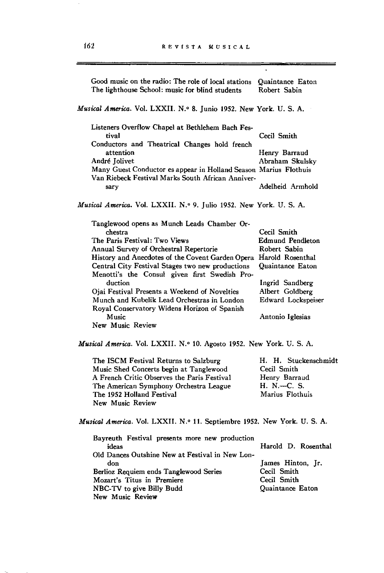and the complete of the complete of the complete of the complete of the complete of the complete of the complete of the complete of the complete of the complete of the complete of the complete of the complete of the comple

 $\overline{\mathcal{A}}$ 

an ang kalamatan sa kalamatan sa pangalang pangalang pangalang pangalang pangalang pangalang pangalang pangala

| Good music on the radio: The role of local stations<br>The lighthouse School: music for blind students                                                                                                                                                                                                                                                                                                                                                                                                                                                                      | Quaintance Eaton<br>Robert Sabin                                                                                                                           |  |
|-----------------------------------------------------------------------------------------------------------------------------------------------------------------------------------------------------------------------------------------------------------------------------------------------------------------------------------------------------------------------------------------------------------------------------------------------------------------------------------------------------------------------------------------------------------------------------|------------------------------------------------------------------------------------------------------------------------------------------------------------|--|
| Musical America. Vol. LXXII. N.º 8. Junio 1952. New York. U. S. A.                                                                                                                                                                                                                                                                                                                                                                                                                                                                                                          |                                                                                                                                                            |  |
| Listeners Overflow Chapel at Bethlehem Bach Fes-<br>tival<br>Conductors and Theatrical Changes hold french<br>attention<br>André Jolivet<br>Many Guest Conductor es appear in Holland Season Marius Flothuis<br>Van Riebeck Festival Marks South African Anniver-<br>sary                                                                                                                                                                                                                                                                                                   | Cecil Smith<br>Henry Barraud<br>Abraham Skulsky<br>Adelheid Armhold                                                                                        |  |
| Musical America. Vol. LXXII. N.º 9. Julio 1952. New York. U. S. A.                                                                                                                                                                                                                                                                                                                                                                                                                                                                                                          |                                                                                                                                                            |  |
| Tanglewood opens as Munch Leads Chamber Or-<br>chestra<br>The Paris Festival: Two Views<br>Annual Survey of Orchestral Repertorie<br>History and Anecdotes of the Covent Garden Opera Harold Rosenthal<br>Central City Festival Stages two new productions<br>Menotti's the Consul given first Swedish Pro-<br>duction<br>Ojai Festival Presents a Weekend of Novelties<br>Munch and Kubelik Lead Orchestras in London<br>Royal Conservatory Widens Horizon of Spanish<br>Music<br>New Music Review<br>Musical America. Vol. LXXII. N.º 10. Agosto 1952. New York. U. S. A. | Cecil Smith<br><b>Edmund Pendleton</b><br>Robert Sabin<br>Quaintance Eaton<br>Ingrid Sandberg<br>Albert Goldberg<br>Edward Lockspeiser<br>Antonio Iglesias |  |
| The ISCM Festival Returns to Salzburg<br>Music Shed Concerts begin at Tanglewood<br>A French Critic Observes the Paris Festival<br>The American Symphony Orchestra League<br>The 1952 Holland Festival<br>New Music Review                                                                                                                                                                                                                                                                                                                                                  | H. H. Stuckenschmidt<br>Cecil Smith<br>Henry Barraud<br>H. N.--C. S.<br>Marius Flothuis                                                                    |  |
| Musical America. Vol. LXXII. N.º 11. Septiembre 1952. New York. U. S. A.                                                                                                                                                                                                                                                                                                                                                                                                                                                                                                    |                                                                                                                                                            |  |
| Bayreuth Festival presents more new production<br>ideas<br>Old Dances Outshine New at Festival in New Lon-<br>don<br>Berlioz Requiem ends Tanglewood Series<br>Mozart's Titus in Premiere<br>NBC-TV to give Billy Budd<br>New Music Review                                                                                                                                                                                                                                                                                                                                  | Harold D. Rosenthal<br>James Hinton, Jr.<br>Cecil Smith<br>Cecil Smith<br>Quaintance Eaton                                                                 |  |

 $\frac{1}{2}$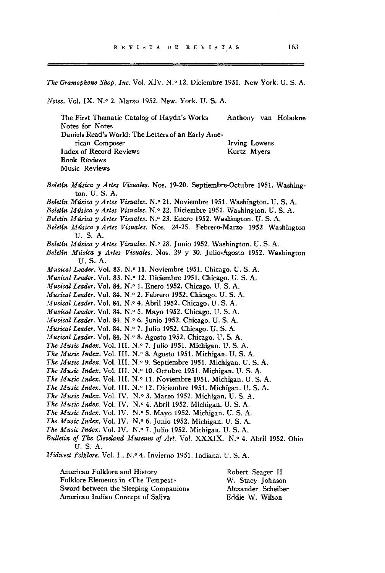*The Gramophone Shop, Inc. Vol. XIV. N.º 12. Diciembre 1951. New York. U. S. A.* 

*Notes.* Vol. IX. N.o 2. Marzo 1952. New. York. U. S. A.

The First Thematic Catalog of Haydn's Works Notes for Notes Daniels Read's World: The Letters of an Early Ame**rican Com poser**  I ndex of Record Reviews Book Reviews Music Reviews Anthony van Hobokne **Irving Lowens**  Kurtz Myers

Boletín Música y Artes Visuales. Nos. 19-20. Septiembre-Octubre 1951. Washington. U. S. A. *Boletín Música:JI Artes Visuales.* N.o 21. Noviembre 1951. Washington. U. S. A. *Boleltn Música:JI Artes Visuales.* N.o 22. Diciembre 1951. Washington. U. S. A. *Boletín Música:JI Artes Visuales.* N.o 23. Enero 1952. Washington. U. S. A. *Boletín Música:JI Artes Visuales.* Nos. 24·25. Febrero-Marzo 1952 Washington U. S. A. Boletín Música y Artes Visuales. N.º 28. Junio 1952. Washington. U. S. A. Boletín Música y Artes Visuales. Nos. 29 y 30. Julio-Agosto 1952. Washington U. S. A. *Musical Leader.* Vol. 83. N.º 11. Noviembre 1951. Chicago. U. S. A. *Musical Leader.* Vol. 83. N.o 12. Diciembre 1951. Chicago. U. S. A. *Musical Leader.* Vol. 84. N.o 1. Enero 1952. Chicago. U. S. A. *Musical Leader.* Vol. 84. N.o 2. Febrero 1952. Chicago. U. S. A. *Musical Leader.* Vol. 84. N.º 4. Abril 1952. Chicago. U. S. A. *Musical Leader.* Vol. 84. N.º 5. Mayo 1952. Chicago. U. S. A. *Musical Leader.* Vol. 84. N.º 6. Junio 1952. Chicago. U. S. A. *Musical Leader.* Vol. 84. N.º 7. Julio 1952. Chicago. U. S. A. *Musical Leader.* Vol. 84. N.º 8. Agosto 1952. Chicago. U. S. A. *The Music Index.* Vol. III. N.O 7. Julio 1951. Michigan. U. S. A. The Music Index. Vol. III. N.º 8. Agosto 1951. Michigan. U. S. A. The Music Index. Vol. III. N.º 9. Septiembre 1951. Michigan. U. S. A. *The Music Index.* Vol. III. N.º 10. Octubre 1951. Michigan. U. S. A. The Music Index. Vol. III. N.º 11. Noviembre 1951. Michigan. U. S. A. The Music Index. Vol. III. N.º 12. Diciembre 1951. Michigan. U. S. A. *The Music Index.* VoL IV. N.O 3. Marzo 1952. Michigan. U. S. A. The Music Index. Vol. IV. N.º 4. Abril 1952. Michigan. U. S. A. The Music Index. Vol. IV. N.º 5. Mayo 1952. Michigan. U. S. A. *The Music Index.* Vol. IV. N.º 6. Junio 1952. Michigan. U. S. A. *The Music Index.* Vol. IV. N.º 7. Julio 1952. Michigan. U. S. A. Bulletin of The Cleveland Museum of Art. Vol. XXXIX. N.º 4. Abril 1952. Ohio U. S. A. *Midwest Folklore.* Vol. I.. N.º 4. Invierno 1951. Indiana. U. S. A.

American Folklore and History Folklore Elements in «The Tempest» Sword between the Sleeping Companions American Indian Concept of Saliva Robert Seager 11 W. Stacy Johnson Alexander Scheiber Eddie W. Wilson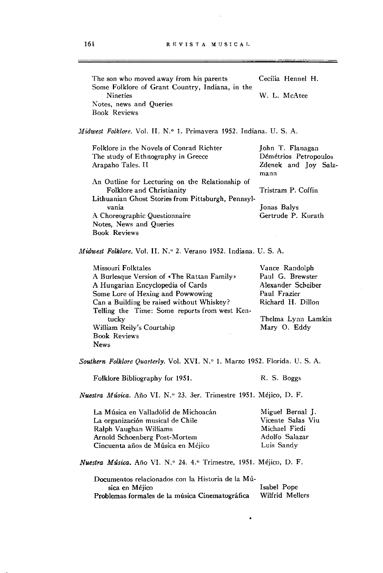$\Delta \phi$ 

| The son who moved away from his parents<br>Some Folklore of Grant Country, Indiana, in the | Cecilia Hennel H.            |
|--------------------------------------------------------------------------------------------|------------------------------|
| Nineties                                                                                   | W. L. McAtee                 |
| Notes, news and Queries<br><b>Book Reviews</b>                                             |                              |
|                                                                                            |                              |
| <i>Midwest Folklore.</i> Vol. II. N.º 1. Primavera 1952. Indiana. U. S. A.                 |                              |
| Folklore in the Novels of Conrad Richter                                                   | John T. Flanagan             |
| The study of Ethnography in Greece                                                         | Démétrios Petropoulos        |
| Arapaho Tales. II                                                                          | Zdenek and Joy Salz-<br>mann |
| An Outline for Lecturing on the Relationship of                                            |                              |
| Folklore and Christianity                                                                  | Tristram P. Coffin           |
| Lithuanian Ghost Stories from Pittsburgh, Pennsyl-                                         |                              |
| vania                                                                                      | Jonas Balys                  |
| A Choreographic Questionnaire                                                              | Gertrude P. Kurath           |
| Notes, News and Queries<br><b>Book Reviews</b>                                             |                              |
|                                                                                            |                              |
| Midwest Folklore, Vol. II, N.º 2. Verano 1952, Indiana, U. S. A.                           |                              |
| Missouri Folktales                                                                         | Vance Randolph               |
| A Burlesque Version of «The Rattan Family»                                                 | Paul G. Brewster             |
| A Hungarian Encyclopedia of Cards                                                          | Alexander Scheiber           |
| Some Lore of Hexing and Powwowing                                                          | Paul Frazier                 |
| Can a Building be raised without Whiskey?                                                  | Richard H. Dillon            |
| Telling the Time: Some reports from west Ken-                                              |                              |
| tucky                                                                                      | Thelma Lynn Lamkin           |
| William Reily's Courtship                                                                  | Mary O. Eddy                 |
| <b>Book Reviews</b>                                                                        |                              |
| <b>News</b>                                                                                |                              |
| Southern Folklore Quarterly. Vol. XVI. N.º 1. Marzo 1952. Florida. U. S. A.                |                              |
| Folklore Bibliography for 1951.                                                            | R. S. Boggs                  |
| Nuestra Música. Año VI. N.º 23. 3er. Trimestre 1951. Méjico, D. F.                         |                              |
| La Música en Valladolid de Michoacán                                                       | Miguel Bernal J.             |
| La organización musical de Chile                                                           | Vicente Salas Viu            |
| Ralph Vaughan Williams                                                                     | Michael Fiedi                |
| Arnold Schoenberg Post-Mortem                                                              | Adolfo Salazar               |
| Cincuenta años de Música en Méjico                                                         | Luis Sandy                   |
| Nuestra Música. Año VI. N.º 24. 4.º Trimestre, 1951. Méjico, D. F.                         |                              |
| Documentos relacionados con la Historia de la Mú-                                          |                              |
| sica en Méjico                                                                             | Isabel Pope                  |
| Problemas formales de la música Cinematográfica                                            | Wilfrid Mellers              |
|                                                                                            |                              |

 $\bullet$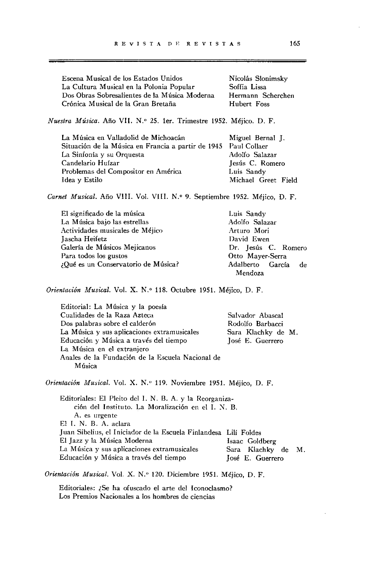| Escena Musical de los Estados Unidos          | Nicolás Slonimsky |
|-----------------------------------------------|-------------------|
| La Cultura Musical en la Polonia Popular      | Soffia Lissa      |
| Dos Obras Sobresalientes de la Música Moderna | Hermann Scherchen |
| Crónica Musical de la Gran Bretaña            | Hubert Foss       |
|                                               |                   |

*Nuestra Música.* Año VII. N." 25. ler. Trimestre 1952. Méjico. D. F.

| La Música en Valladolid de Michoacán                            | Miguel Bernal J.    |
|-----------------------------------------------------------------|---------------------|
| Situación de la Música en Francia a partir de 1945 Paul Collaer |                     |
| La Sinfonía y su Orquesta                                       | Adolfo Salazar      |
| Candelario Huízar                                               | Jesús C. Romero     |
| Problemas del Compositor en América                             | Luis Sandy          |
| Idea y Estilo                                                   | Michael Greet Field |

*Carnet Musical.* Año VIII. Vol. VIII. N.' 9. Septiembre 1952. Méjico, D. F.

| El significado de la música         | Luis Sandy          |
|-------------------------------------|---------------------|
| La Música bajo las estrellas        | Adolfo Salazar      |
| Actividades musicales de Méjico     | Arturo Mori         |
| Jascha Heifetz                      | David Ewen          |
| Galería de Músicos Mejicanos        | Dr. Jesús C. Romero |
| Para todos los gustos               | Otto Mayer-Serra    |
| ¿Qué es un Conservatorio de Música? | Adalberto García de |
|                                     | Mendoza             |

*Orientaci6n Musical.* Vol. X. N.' 118. Octubre 1951. Méjico, D. F.

| Editorial: La Música y la poesía                 |                    |
|--------------------------------------------------|--------------------|
| Cualidades de la Raza Azteca                     | Salvador Abascal   |
| Dos palabras sobre el calderón                   | Rodolfo Barbacci   |
| La Música y sus aplicaciones extramusicales      | Sara Klachky de M. |
| Educación y Música a través del tiempo           | losé E. Guerrero   |
| La Música en el extranjero                       |                    |
| Anales de la Fundación de la Escuela Nacional de |                    |
| Música                                           |                    |

*Orientación Musical.* Vol. X. N." 119. Noviembre 1951. Méjico, D. F.

Editoriales: El Pleito del 1. N. B. A. y la Reorganización del Instituto. La Moralización en el I. N. B. **A. es urgente**  El 1. N. B. A. aclara Juan Sibelius, el Iniciador de la Escuela Finlandesa Lilí Foldes El Jazz y la Música Moderna **La Música y sus aplicaciones extramusicales Educación y Música a través del tiempo**  Isaac Goldberg Sara Klachky de M. José E. Guerrero

*Orientación Musical.* Vol. X. N.' 120. Diciembre 1951. Méjico, D. F.

Editoriales: ¿Se ha ofuscado el arte del Iconoclasmo? **Los Premios Nacionales a los hombres de ciencias**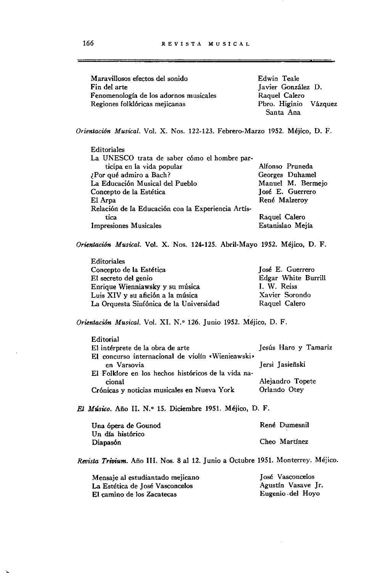| Maravillosos efectos del sonido        | Edwin Teale           |
|----------------------------------------|-----------------------|
| Fin del arte                           | Javier González D.    |
| Fenomenología de los adornos musicales | Raquel Calero         |
| Regiones folklóricas mejicanas         | Pbro. Higinio Vázquez |
|                                        | Santa Ana             |

*Orientación Musical.* Vol. X. Nos. 122-123. Febrero-Marzo 1952. Méjico, D. F.

| Editoriales                                        |                   |
|----------------------------------------------------|-------------------|
| La UNESCO trata de saber cómo el hombre par-       |                   |
| ticipa en la vida popular                          | Alfonso Pruneda   |
| Por qué admiro a Bach?                             | Georges Duhamel   |
| La Educación Musical del Pueblo                    | Manuel M. Bermeio |
| Concepto de la Estética                            | José E. Guerrero  |
| El Arpa                                            | René Malzeroy     |
| Relación de la Educación con la Experiencia Artís- |                   |
| tica                                               | Raquel Calero     |
| <b>Impresiones Musicales</b>                       | Estanislao Mejía  |
|                                                    |                   |

*Orientación Musical.* Vol. X. Nos. 124-125. Abril-Mayo 1952. Méjico, D. F.

| Editoriales                             |                     |
|-----------------------------------------|---------------------|
| Concepto de la Estética                 | José E. Guerrero    |
| El secreto del genio                    | Edgar White Burrill |
| Enrique Wienniawsky y su música         | I. W. Reiss         |
| Luis XIV y su afición a la música       | Xavier Sorondo      |
| La Orquesta Sinfónica de la Universidad | Raquel Calero       |

*Orientación Musical.* Vol. XI. N.O 126. Junio 1952. Méjico, D. F.

| Editorial                                           |                      |
|-----------------------------------------------------|----------------------|
| El intérprete de la obra de arte                    | Jesús Haro y Tamariz |
| El concurso internacional de violín «Wienieawski»   |                      |
| en Varsovia                                         | Jersi Jasieñski      |
| El Folklore en los hechos históricos de la vida na- |                      |
| cional                                              | Alejandro Topete     |
| Crónicas y noticias musicales en Nueva York         | Orlando Otev         |
|                                                     |                      |

*El Músico.* Año II. N.o 15. Diciembre 1951. Méjico, D. F.

| Una ópera de Gounod | René Dumesnil |
|---------------------|---------------|
| Un día histórico    |               |
| Diapasón            | Cheo Martínez |

*Revista Trivium.* Año III. Nos. 8 al 12. Junio a Octubre 1951. Monterrey. Méjico.

| Mensaje al estudiantado mejicano | José Vasconcelos   |
|----------------------------------|--------------------|
| La Estética de José Vasconcelos  | Agustín Vasave Jr. |
| El camino de los Zacatecas       | Eugenio del Hoyo   |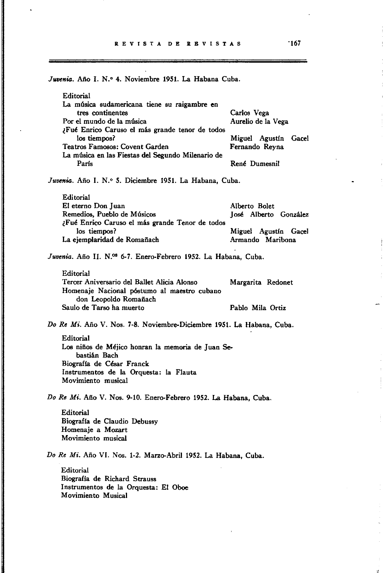Juvenia. Año I. N.º 4. Noviembre 1951. La Habana Cuba. Editorial La música sudamericana tiene su raigambre en tres continentes Por el mundo de la música ¿Fué Enrico Caruso el más grande tenor de todos los tiempos? Teatros Famosos: Covent Garden La música en las Fiestas del Segundo Milenario de Parls Carlos Vega Aurelio de la Vega Miguel Agustín Gacel Fernando Reyna René Dumesnil Juvenia. Año I. N.º 5. Diciembre 1951. La Habana, Cuba. Editorial El eterno Don Juan Remedios, Pueblo de Músicos ¿Fué Enrico Caruso el más grande Tenor de todos los tiempos? La ejemplaridad de Romañach Alberto Bolet José Alberto González Miguel Agustín Gacel Armando Maribona *Juvenia.* Año 11. N.os 6-7. Enero-Febrero 1952. La Habana, Cuba. Editorial Tercer Aniversario del Ballet Alicia Alonso Homenaje Nacional póstumo al maestro cubano don Leopoldo Romañach Margarita Redonet Saulo de Tarso ha muerto Pablo Mila Ortiz *Do R.* Mi. Año V. Nos. 7-8. Noviembre-Diciembre 1951. La Habana, Cuba. Editorial Los niños de Méjico honran la memoria de Juan Sebastián Bach Biografla de César Franck Instrumentos de la Orquesta: la Flauta Movimiento musical *Do R.* Mi. Año V. Nos. 9-10. Enero-Febrero 1952. La Habana, Cuba. Editorial Biografla de Claudio Debussy Homenaje a Mozart Movimiento musical *Do R.* Mi. Año VI. Nos. 1-2. Marzo-Abril 1952. La Habana, Cuba. Editorial Biografla de Richard Strauss Instrumentos de la Orquesta: El Oboe Movimiento Musical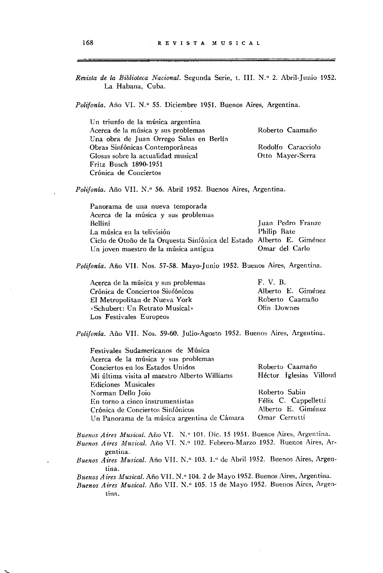| Revista de la Biblioteca Nacional. Segunda Serie, t. III. N.º 2. Abril-Junio 1952.<br>La Habana, Cuba.                                                                    |                         |  |
|---------------------------------------------------------------------------------------------------------------------------------------------------------------------------|-------------------------|--|
| <i>Polifonía</i> . Año VI. N.º 55. Diciembre 1951. Buenos Aires, Argentina.                                                                                               |                         |  |
| Un triunfo de la música argentina                                                                                                                                         |                         |  |
| Acerca de la música y sus problemas                                                                                                                                       | Roberto Caamaño         |  |
| Una obra de Juan Orrego Salas en Berlín                                                                                                                                   |                         |  |
| Obras Sinfónicas Contemporáneas                                                                                                                                           | Rodolfo Caracciolo      |  |
| Glosas sobre la actualidad musical                                                                                                                                        | Otto Mayer-Serra        |  |
| Fritz Busch 1890-1951                                                                                                                                                     |                         |  |
| Crónica de Conciertos                                                                                                                                                     |                         |  |
| <i>Polifonia.</i> Año VII. N.º 56. Abril 1952. Buenos Aires, Argentina.                                                                                                   |                         |  |
| Panorama de una nueva temporada                                                                                                                                           |                         |  |
| Acerca de la música y sus problemas                                                                                                                                       |                         |  |
| Bellini                                                                                                                                                                   | Juan Pedro Franze       |  |
| La música en la telivisión                                                                                                                                                | Philip Bate             |  |
| Ciclo de Otoño de la Orquesta Sinfónica del Estado Alberto E. Giménez                                                                                                     |                         |  |
| Un joven maestro de la música antigua                                                                                                                                     | Omar del Carlo          |  |
| Polifonía. Año VII. Nos. 57-58. Mayo-Junio 1952. Buenos Aires, Argentina.                                                                                                 |                         |  |
| Acerca de la música y sus problemas                                                                                                                                       | F. V. B.                |  |
| Crónica de Conciertos Siufónicos                                                                                                                                          | Alberto E. Giménez      |  |
| El Metropolitan de Nueva York                                                                                                                                             | Roberto Caamaño         |  |
| «Schubert: Un Retrato Musical»                                                                                                                                            | Olin Downes             |  |
| Los Festivales Europeos                                                                                                                                                   |                         |  |
| Polifonía. Año VII. Nos. 59-60. Julio-Agosto 1952. Buenos Aires, Argentina.                                                                                               |                         |  |
| Festivales Sudamericanos de Música                                                                                                                                        |                         |  |
| Acerca de la música y sus problemas                                                                                                                                       |                         |  |
| Conciertos en los Estados Unidos                                                                                                                                          | Roberto Caamaño         |  |
| Mi última visita al maestro Alberto Williams                                                                                                                              | Héctor Iglesias Villoud |  |
| Ediciones Musicales                                                                                                                                                       |                         |  |
| Norman Dello Joio                                                                                                                                                         | Roberto Sabin           |  |
| En torno a cinco instrumentistas                                                                                                                                          | Félix C. Cappelletti    |  |
| Crónica de Conciertos Sinfónicos                                                                                                                                          | Alberto E. Giménez      |  |
| Un Panorama de la música argentina de Cámara                                                                                                                              | Omar Cerrutti           |  |
| Buenos Aires Musical. Año VI. N.º 101. Dic. 15 1951. Buenos Aires, Argentina.<br>Buenos Aires Musical. Año VI. N.º 102. Febrero-Marzo 1952. Buenos Aires, Ar-<br>gentina. |                         |  |
| Buenos Aires Musical. Año VII. N.º 103. 1.º de Abril 1952. Buenos Aires, Argen-<br>tina.                                                                                  |                         |  |
| Buenos Aires Musical. Año VII. N.º 104. 2 de Mayo 1952. Buenos Aires, Argentina.                                                                                          |                         |  |

Buenos Aires Musical. Año VII. N.º 105. 15 de Mayo 1952. Buenos Aires, Argen**tin;:¡.** 

 $\hat{\boldsymbol{\beta}}$ 

ويستحددون

 $\overline{\phantom{a}}$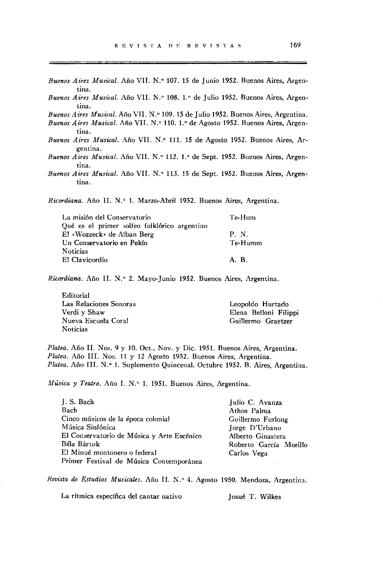- Buenos Aires Musical. Año VII. N.º 107. 15 de Junio 1952. Buenos Aires, Argen**tina.**
- Buenos Aires Musical. Año VII. N.º 108. 1.º de Julio 1952. Buenos Aires, Argen**tina.**

Buenos Aires Musical. Año VII. N.º 109. 15 de Julio 1952. Buenos Aires, Argentina.

- Buenos Aires Musical. Año VII. N.º 110. 1.º de Agosto 1952. Buenos Aires, Argen**tina.**
- Buenos Aires Musical. Año VII. N.º 111. 15 de Agosto 1952. Buenos Aires, Ar**gentina.**
- Buenos Aires Musical. Año VII. N.º 112. 1.º de Sept. 1952. Buenos Aires, Argen**tina.**
- *Buenos Aires Musical.* Año VII. N.º 113. 15 de Sept. 1952. Buenos Aires, Argen**tina.**

*Ricordiana.* Año II. N.º 1. Marzo-Abril 1952. Buenos Aires, Argentina.

| La misión del Conservatorio                  | Te-Hum  |
|----------------------------------------------|---------|
| Oué es el primer solfeo folklórico argentino |         |
| El «Wozzeck» de Alban Berg                   | P. N.   |
| Un Conservatorio en Pekín                    | Te-Humm |
| Noticias                                     |         |
| El Clavicordio                               | AR.     |
|                                              |         |

*Ricordiana.* Año II. N.º 2. Mayo-Junio 1952. Buenos Aires, Argentina.

Editorial **Las Relaciones Sonoras**  Verdi y Shaw Nueva Escuela Coral **Noticias** 

Leopoldo Hurtado Elena Belloni Filippi Guillermo Graetzer

*Platea.* Año 11. Nos. 9 y 10. Oct., Nov. y Dic. 1951. Buenos Aires, Argentina. *Platea.* Año 111. Nos. 11 y 12 Agosto 1952. Buenos Aires, Argentina. Platea. Año III. N.º 1. Suplemento Quincenal. Octubre 1952. B. Aires, Argentina.

*Música* y *Teatro.* Año 1. N." 1. 1951. Buenos Aires, Argentina.

| J. S. Bach                                 | Julio C. Avanza        |
|--------------------------------------------|------------------------|
| Bach                                       | Athos Palma            |
| Cinco músicos de la época colonial         | Guillermo Furlong      |
| Música Sinfónica                           | Jorge D'Urbano         |
| El Conservatorio de Música y Arte Escénico | Alberto Ginastera      |
| Béla Bártok                                | Roberto García Morillo |
| El Minué montonero o federal               | Carlos Vega            |
| Primer Festival de Música Contemporánea    |                        |
|                                            |                        |

Revista de Estudios Musicales. Año II. N.º 4. Agosto 1950. Mendoza, Argentina.

La rítmica específica del cantar nativo **Josué T. Wilkes**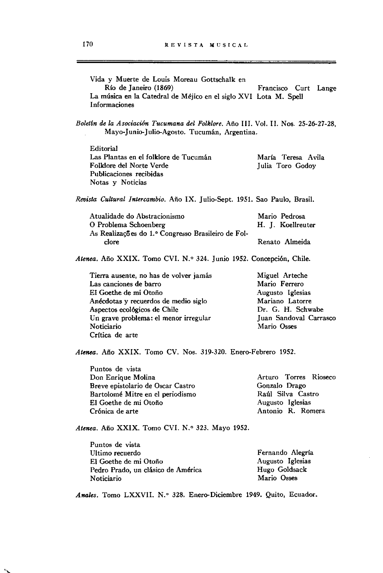| Vida y Muerte de Louis Moreau Gottschalk en<br>Río de Janeiro (1869)                                                                | Francisco Curt Lange                   |
|-------------------------------------------------------------------------------------------------------------------------------------|----------------------------------------|
| La música en la Catedral de Méjico en el siglo XVI Lota M. Spell<br>Informaciones                                                   |                                        |
| Boletín de la Asociación Tucumana del Folklore. Año III. Vol. II. Nos. 25-26-27-28,<br>Mayo-Junio-Julio-Agosto. Tucumán, Argentina. |                                        |
| Editorial                                                                                                                           |                                        |
| Las Plantas en el folklore de Tucumán<br>Folklore del Norte Verde<br>Publicaciones recibidas<br>Notas y Noticias                    | María Teresa Avila<br>Julia Toro Godoy |
| Revista Cultural Intercambio. Año IX. Julio-Sept. 1951. Sao Paulo, Brasil.                                                          |                                        |
| Atualidade do Abstracionismo<br>O Problema Schoenberg<br>As Realizações do 1.º Congresso Brasileiro de Fol-                         | Mario Pedrosa<br>H. J. Koellreuter     |
| clore                                                                                                                               | Renato Almeida                         |
| Atenea. Año XXIX. Tomo CVI. N.º 324. Junio 1952. Concepción, Chile.                                                                 |                                        |
| Tierra ausente, no has de volver jamás<br>Las canciones de barro                                                                    | Miguel Arteche<br>Mario Ferrero        |
| El Goethe de mi Otoño                                                                                                               | Augusto Iglesias                       |
| Anécdotas y recuerdos de medio siglo                                                                                                | Mariano Latorre                        |
| Aspectos ecológicos de Chile                                                                                                        | Dr. G. H. Schwabe                      |
| Un grave problema: el menor irregular<br>Noticiario                                                                                 | Juan Sandoval Carrasco<br>Mario Osses  |
| Crítica de arte                                                                                                                     |                                        |
| Atenea. Año XXIX. Tomo CV. Nos. 319-320. Enero-Febrero 1952.                                                                        |                                        |
|                                                                                                                                     |                                        |

Puntos de vista Don Enrique Molina Breve epistolario de Osear Castro Bartolomé Mitre en el periodismo El Goethe de mi Otoño Crónica de arte **Arturo Torres Rioseco**  Gonzalo Drago Raúl Silva Castro Augusto Iglesias Antonio R. Romera

Atenea. Año XXIX. Tomo CVI. N.º 323. Mayo 1952.

٠

| Puntos de vista                    |                  |
|------------------------------------|------------------|
| Ultimo recuerdo                    | Fernando Alegría |
| El Goethe de mi Otoño              | Augusto Iglesias |
| Pedro Prado, un clásico de América | Hugo Goldsack    |
| Noticiario                         | Mario Osses      |

Anales. Tomo LXXVII. N.º 328. Enero-Diciembre 1949. Quito, Ecuador.